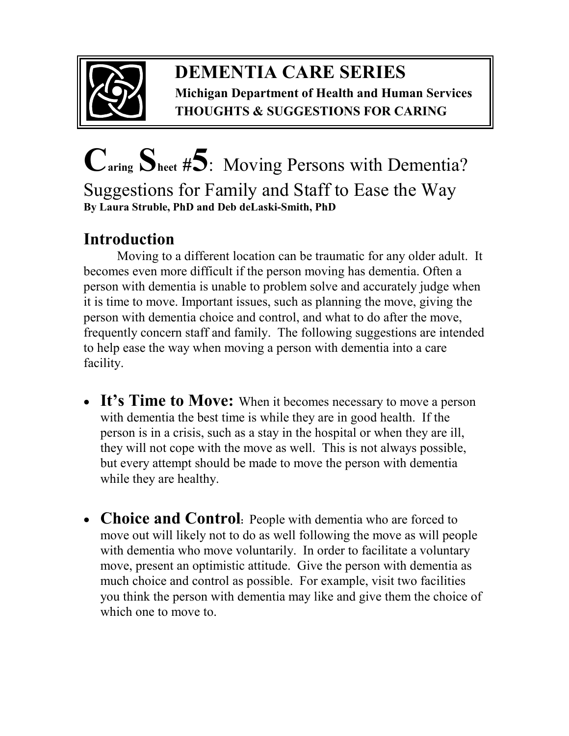

## **DEMENTIA CARE SERIES Michigan Department of Health and Human Services THOUGHTS & SUGGESTIONS FOR CARING**

## **Caring Sheet #5**:Moving Persons with Dementia? Suggestions for Family and Staff to Ease the Way **By Laura Struble, PhD and Deb deLaski-Smith, PhD**

## **Introduction**

Moving to a different location can be traumatic for any older adult. It becomes even more difficult if the person moving has dementia. Often a person with dementia is unable to problem solve and accurately judge when it is time to move. Important issues, such as planning the move, giving the person with dementia choice and control, and what to do after the move, frequently concern staff and family. The following suggestions are intended to help ease the way when moving a person with dementia into a care facility.

- It's Time to Move: When it becomes necessary to move a person with dementia the best time is while they are in good health. If the person is in a crisis, such as a stay in the hospital or when they are ill, they will not cope with the move as well. This is not always possible, but every attempt should be made to move the person with dementia while they are healthy.
- **Choice and Control**: People with dementia who are forced to move out will likely not to do as well following the move as will people with dementia who move voluntarily. In order to facilitate a voluntary move, present an optimistic attitude. Give the person with dementia as much choice and control as possible. For example, visit two facilities you think the person with dementia may like and give them the choice of which one to move to.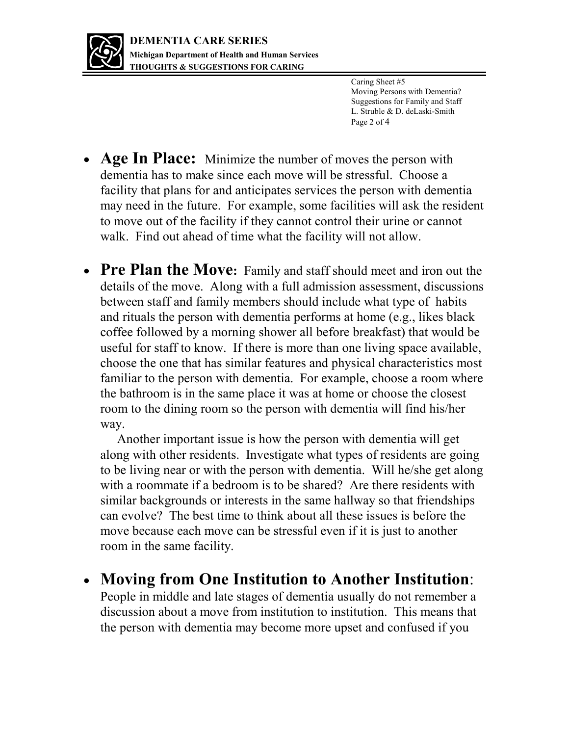

Caring Sheet #5 Moving Persons with Dementia? Suggestions for Family and Staff L. Struble & D. deLaski-Smith Page 2 of 4

- **Age In Place:** Minimize the number of moves the person with dementia has to make since each move will be stressful. Choose a facility that plans for and anticipates services the person with dementia may need in the future. For example, some facilities will ask the resident to move out of the facility if they cannot control their urine or cannot walk. Find out ahead of time what the facility will not allow.
- **Pre Plan the Move:** Family and staff should meet and iron out the details of the move. Along with a full admission assessment, discussions between staff and family members should include what type of habits and rituals the person with dementia performs at home (e.g., likes black coffee followed by a morning shower all before breakfast) that would be useful for staff to know. If there is more than one living space available, choose the one that has similar features and physical characteristics most familiar to the person with dementia. For example, choose a room where the bathroom is in the same place it was at home or choose the closest room to the dining room so the person with dementia will find his/her way.

 Another important issue is how the person with dementia will get along with other residents. Investigate what types of residents are going to be living near or with the person with dementia. Will he/she get along with a roommate if a bedroom is to be shared? Are there residents with similar backgrounds or interests in the same hallway so that friendships can evolve? The best time to think about all these issues is before the move because each move can be stressful even if it is just to another room in the same facility.

 **Moving from One Institution to Another Institution**: People in middle and late stages of dementia usually do not remember a

discussion about a move from institution to institution. This means that the person with dementia may become more upset and confused if you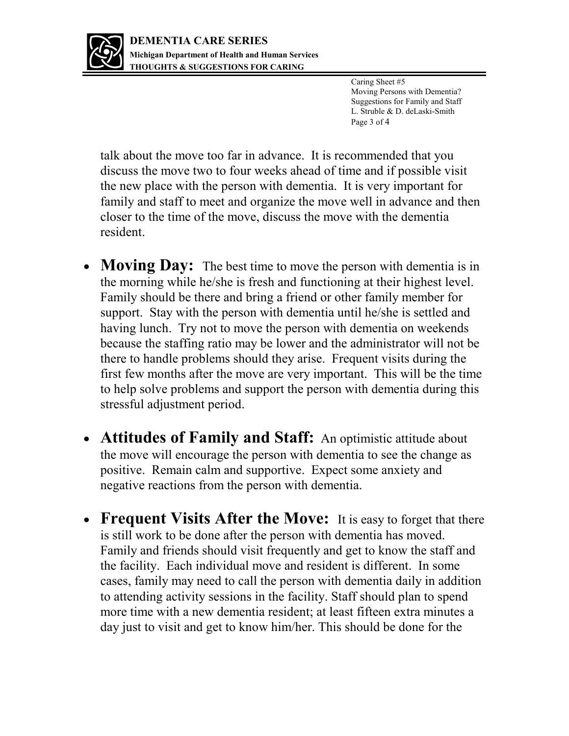

Caring Sheet #5 Moving Persons with Dementia? Suggestions for Family and Staff L. Struble & D. deLaski-Smith Page 3 of 4

talk about the move too far in advance. It is recommended that you discuss the move two to four weeks ahead of time and if possible visit the new place with the person with dementia. It is very important for family and staff to meet and organize the move well in advance and then closer to the time of the move, discuss the move with the dementia resident.

- **Moving Day:** The best time to move the person with dementia is in the morning while he/she is fresh and functioning at their highest level. Family should be there and bring a friend or other family member for support. Stay with the person with dementia until he/she is settled and having lunch. Try not to move the person with dementia on weekends because the staffing ratio may be lower and the administrator will not be there to handle problems should they arise. Frequent visits during the first few months after the move are very important. This will be the time to help solve problems and support the person with dementia during this stressful adjustment period.
- **Attitudes of Family and Staff:** An optimistic attitude about the move will encourage the person with dementia to see the change as positive. Remain calm and supportive. Expect some anxiety and negative reactions from the person with dementia.
- **Frequent Visits After the Move:** It is easy to forget that there is still work to be done after the person with dementia has moved. Family and friends should visit frequently and get to know the staff and the facility. Each individual move and resident is different. In some cases, family may need to call the person with dementia daily in addition to attending activity sessions in the facility. Staff should plan to spend more time with a new dementia resident; at least fifteen extra minutes a day just to visit and get to know him/her. This should be done for the